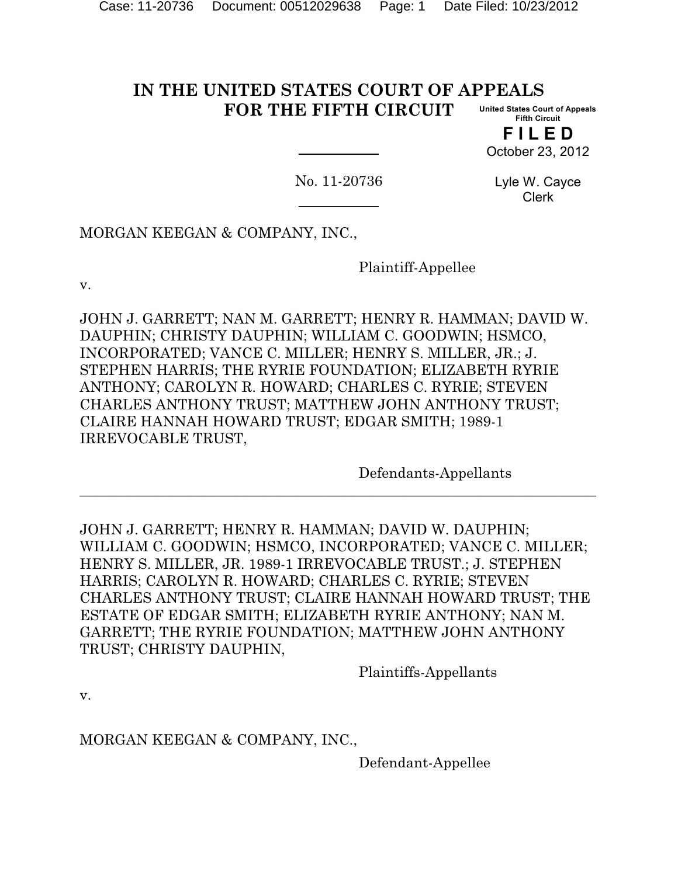#### **IN THE UNITED STATES COURT OF APPEALS FOR THE FIFTH CIRCUIT United States Court of Appeals Fifth Circuit**

**F I L E D** October 23, 2012

No. 11-20736

Lyle W. Cayce Clerk

MORGAN KEEGAN & COMPANY, INC.,

Plaintiff-Appellee

v.

JOHN J. GARRETT; NAN M. GARRETT; HENRY R. HAMMAN; DAVID W. DAUPHIN; CHRISTY DAUPHIN; WILLIAM C. GOODWIN; HSMCO, INCORPORATED; VANCE C. MILLER; HENRY S. MILLER, JR.; J. STEPHEN HARRIS; THE RYRIE FOUNDATION; ELIZABETH RYRIE ANTHONY; CAROLYN R. HOWARD; CHARLES C. RYRIE; STEVEN CHARLES ANTHONY TRUST; MATTHEW JOHN ANTHONY TRUST; CLAIRE HANNAH HOWARD TRUST; EDGAR SMITH; 1989-1 IRREVOCABLE TRUST,

Defendants-Appellants

JOHN J. GARRETT; HENRY R. HAMMAN; DAVID W. DAUPHIN; WILLIAM C. GOODWIN; HSMCO, INCORPORATED; VANCE C. MILLER; HENRY S. MILLER, JR. 1989-1 IRREVOCABLE TRUST.; J. STEPHEN HARRIS; CAROLYN R. HOWARD; CHARLES C. RYRIE; STEVEN CHARLES ANTHONY TRUST; CLAIRE HANNAH HOWARD TRUST; THE ESTATE OF EDGAR SMITH; ELIZABETH RYRIE ANTHONY; NAN M. GARRETT; THE RYRIE FOUNDATION; MATTHEW JOHN ANTHONY TRUST; CHRISTY DAUPHIN,

**\_\_\_\_\_\_\_\_\_\_\_\_\_\_\_\_\_\_\_\_\_\_\_\_\_\_\_\_\_\_\_\_\_\_\_\_\_\_\_\_\_\_\_\_\_\_\_\_\_\_\_\_\_\_\_\_\_\_\_\_\_\_\_\_\_\_\_\_\_\_\_\_**

Plaintiffs-Appellants

v.

MORGAN KEEGAN & COMPANY, INC.,

Defendant-Appellee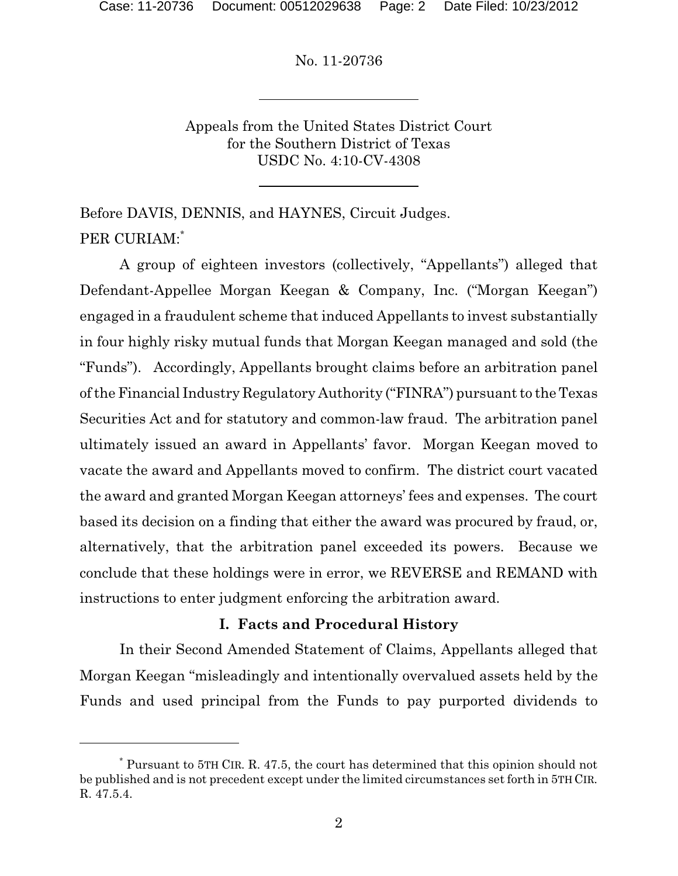Appeals from the United States District Court for the Southern District of Texas USDC No. 4:10-CV-4308

Before DAVIS, DENNIS, and HAYNES, Circuit Judges. PER CURIAM:\*

A group of eighteen investors (collectively, "Appellants") alleged that Defendant-Appellee Morgan Keegan & Company, Inc. ("Morgan Keegan") engaged in a fraudulent scheme that induced Appellants to invest substantially in four highly risky mutual funds that Morgan Keegan managed and sold (the "Funds"). Accordingly, Appellants brought claims before an arbitration panel of the Financial Industry Regulatory Authority ("FINRA") pursuant to the Texas Securities Act and for statutory and common-law fraud. The arbitration panel ultimately issued an award in Appellants' favor. Morgan Keegan moved to vacate the award and Appellants moved to confirm. The district court vacated the award and granted Morgan Keegan attorneys' fees and expenses. The court based its decision on a finding that either the award was procured by fraud, or, alternatively, that the arbitration panel exceeded its powers. Because we conclude that these holdings were in error, we REVERSE and REMAND with instructions to enter judgment enforcing the arbitration award.

### **I. Facts and Procedural History**

In their Second Amended Statement of Claims, Appellants alleged that Morgan Keegan "misleadingly and intentionally overvalued assets held by the Funds and used principal from the Funds to pay purported dividends to

Pursuant to 5TH CIR. R. 47.5, the court has determined that this opinion should not \* be published and is not precedent except under the limited circumstances set forth in 5TH CIR. R. 47.5.4.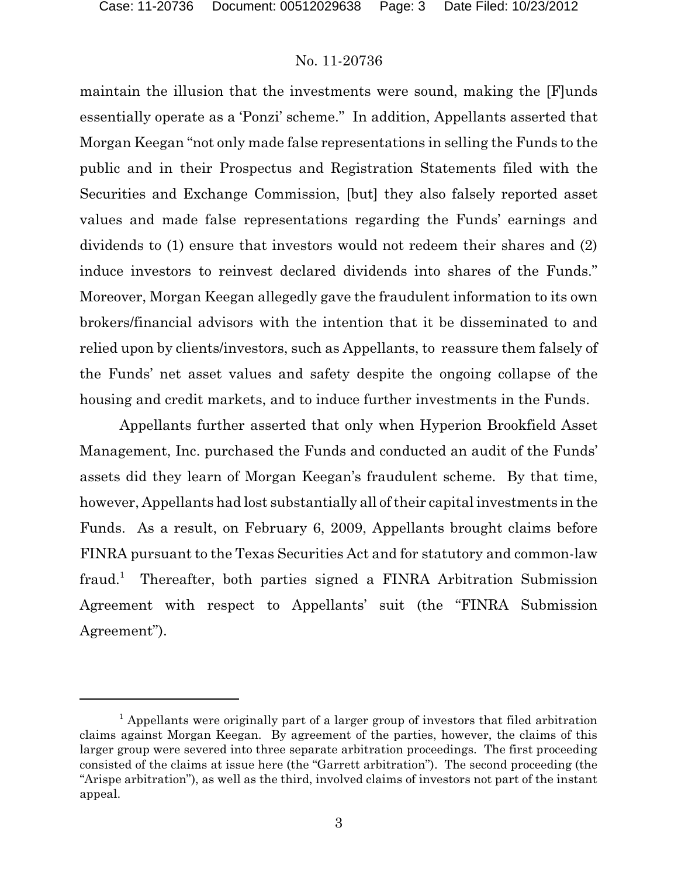maintain the illusion that the investments were sound, making the [F]unds essentially operate as a 'Ponzi' scheme." In addition, Appellants asserted that Morgan Keegan "not only made false representations in selling the Funds to the public and in their Prospectus and Registration Statements filed with the Securities and Exchange Commission, [but] they also falsely reported asset values and made false representations regarding the Funds' earnings and dividends to (1) ensure that investors would not redeem their shares and (2) induce investors to reinvest declared dividends into shares of the Funds." Moreover, Morgan Keegan allegedly gave the fraudulent information to its own brokers/financial advisors with the intention that it be disseminated to and relied upon by clients/investors, such as Appellants, to reassure them falsely of the Funds' net asset values and safety despite the ongoing collapse of the housing and credit markets, and to induce further investments in the Funds.

Appellants further asserted that only when Hyperion Brookfield Asset Management, Inc. purchased the Funds and conducted an audit of the Funds' assets did they learn of Morgan Keegan's fraudulent scheme. By that time, however, Appellants had lost substantially all of their capital investments in the Funds. As a result, on February 6, 2009, Appellants brought claims before FINRA pursuant to the Texas Securities Act and for statutory and common-law fraud.<sup>1</sup> Thereafter, both parties signed a FINRA Arbitration Submission Agreement with respect to Appellants' suit (the "FINRA Submission Agreement").

<sup>&</sup>lt;sup>1</sup> Appellants were originally part of a larger group of investors that filed arbitration claims against Morgan Keegan. By agreement of the parties, however, the claims of this larger group were severed into three separate arbitration proceedings. The first proceeding consisted of the claims at issue here (the "Garrett arbitration"). The second proceeding (the "Arispe arbitration"), as well as the third, involved claims of investors not part of the instant appeal.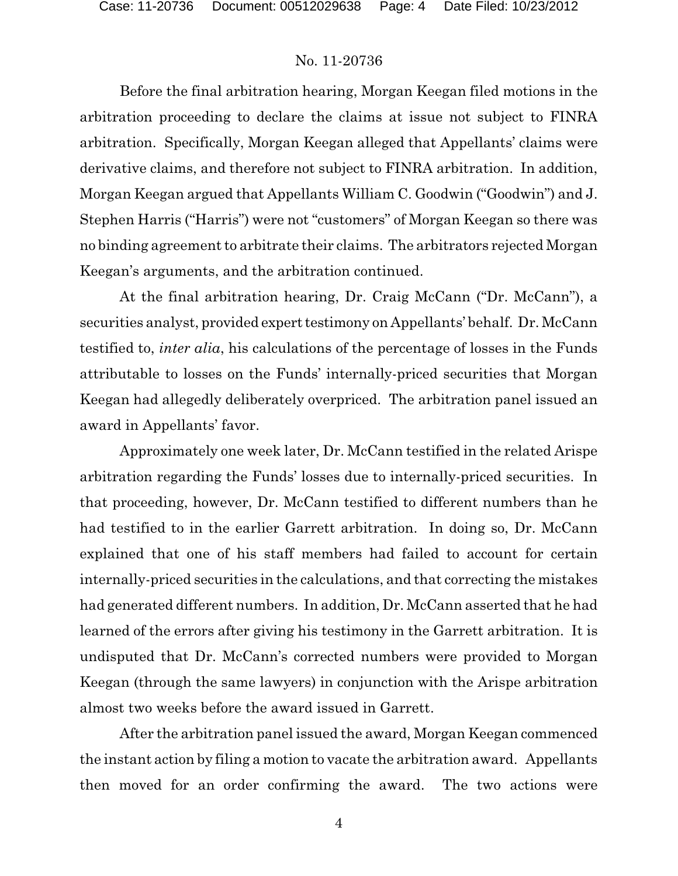Before the final arbitration hearing, Morgan Keegan filed motions in the arbitration proceeding to declare the claims at issue not subject to FINRA arbitration. Specifically, Morgan Keegan alleged that Appellants' claims were derivative claims, and therefore not subject to FINRA arbitration. In addition, Morgan Keegan argued that Appellants William C. Goodwin ("Goodwin") and J. Stephen Harris ("Harris") were not "customers" of Morgan Keegan so there was no binding agreement to arbitrate their claims. The arbitrators rejected Morgan Keegan's arguments, and the arbitration continued.

At the final arbitration hearing, Dr. Craig McCann ("Dr. McCann"), a securities analyst, provided expert testimony on Appellants' behalf. Dr. McCann testified to, *inter alia*, his calculations of the percentage of losses in the Funds attributable to losses on the Funds' internally-priced securities that Morgan Keegan had allegedly deliberately overpriced. The arbitration panel issued an award in Appellants' favor.

Approximately one week later, Dr. McCann testified in the related Arispe arbitration regarding the Funds' losses due to internally-priced securities. In that proceeding, however, Dr. McCann testified to different numbers than he had testified to in the earlier Garrett arbitration. In doing so, Dr. McCann explained that one of his staff members had failed to account for certain internally-priced securities in the calculations, and that correcting the mistakes had generated different numbers. In addition, Dr. McCann asserted that he had learned of the errors after giving his testimony in the Garrett arbitration. It is undisputed that Dr. McCann's corrected numbers were provided to Morgan Keegan (through the same lawyers) in conjunction with the Arispe arbitration almost two weeks before the award issued in Garrett.

After the arbitration panel issued the award, Morgan Keegan commenced the instant action by filing a motion to vacate the arbitration award. Appellants then moved for an order confirming the award. The two actions were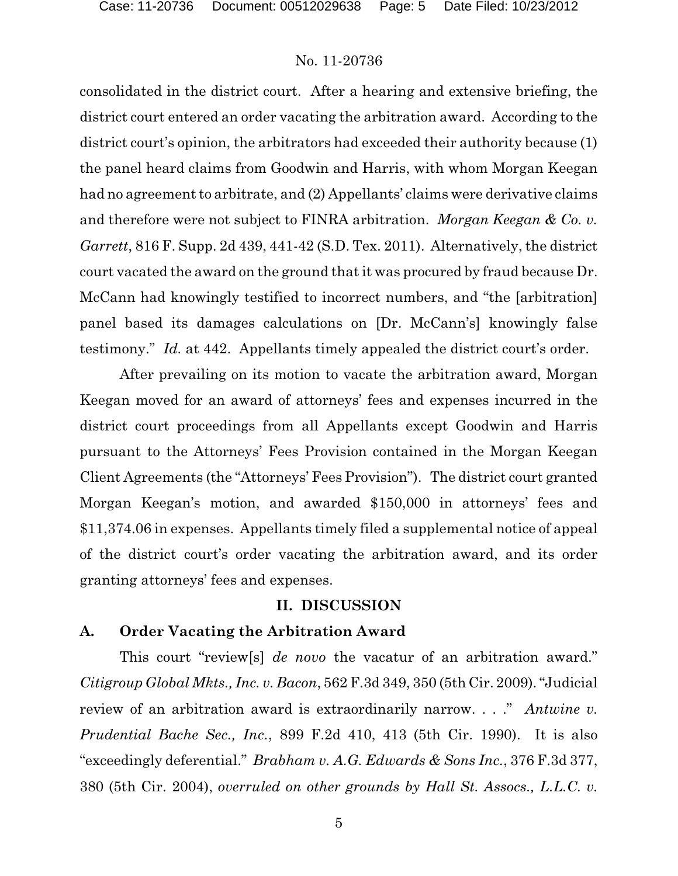consolidated in the district court. After a hearing and extensive briefing, the district court entered an order vacating the arbitration award. According to the district court's opinion, the arbitrators had exceeded their authority because (1) the panel heard claims from Goodwin and Harris, with whom Morgan Keegan had no agreement to arbitrate, and (2) Appellants' claims were derivative claims and therefore were not subject to FINRA arbitration. *Morgan Keegan & Co. v. Garrett*, 816 F. Supp. 2d 439, 441-42 (S.D. Tex. 2011). Alternatively, the district court vacated the award on the ground that it was procured by fraud because Dr. McCann had knowingly testified to incorrect numbers, and "the [arbitration] panel based its damages calculations on [Dr. McCann's] knowingly false testimony." *Id.* at 442. Appellants timely appealed the district court's order.

After prevailing on its motion to vacate the arbitration award, Morgan Keegan moved for an award of attorneys' fees and expenses incurred in the district court proceedings from all Appellants except Goodwin and Harris pursuant to the Attorneys' Fees Provision contained in the Morgan Keegan Client Agreements (the "Attorneys' Fees Provision"). The district court granted Morgan Keegan's motion, and awarded \$150,000 in attorneys' fees and \$11,374.06 in expenses. Appellants timely filed a supplemental notice of appeal of the district court's order vacating the arbitration award, and its order granting attorneys' fees and expenses.

#### **II. DISCUSSION**

#### **A. Order Vacating the Arbitration Award**

This court "review[s] *de novo* the vacatur of an arbitration award." *Citigroup Global Mkts., Inc. v. Bacon*, 562 F.3d 349, 350 (5th Cir. 2009). "Judicial review of an arbitration award is extraordinarily narrow. . . ." *Antwine v. Prudential Bache Sec., Inc.*, 899 F.2d 410, 413 (5th Cir. 1990). It is also "exceedingly deferential." *Brabham v. A.G. Edwards & Sons Inc.*, 376 F.3d 377, 380 (5th Cir. 2004), *overruled on other grounds by Hall St. Assocs., L.L.C. v.*

5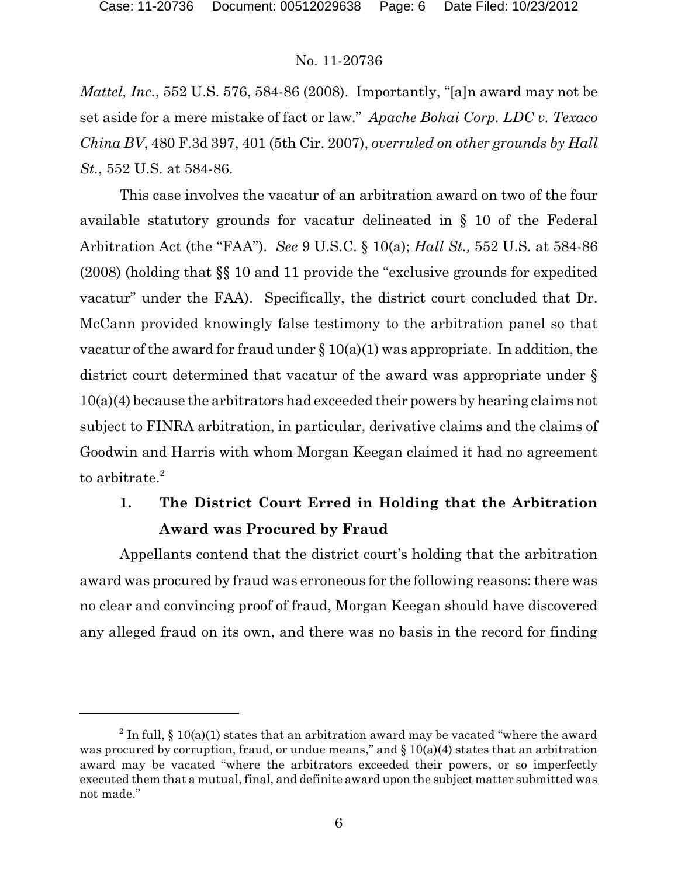*Mattel, Inc.*, 552 U.S. 576, 584-86 (2008). Importantly, "[a]n award may not be set aside for a mere mistake of fact or law." *Apache Bohai Corp. LDC v. Texaco China BV*, 480 F.3d 397, 401 (5th Cir. 2007), *overruled on other grounds by Hall St.*, 552 U.S. at 584-86.

This case involves the vacatur of an arbitration award on two of the four available statutory grounds for vacatur delineated in § 10 of the Federal Arbitration Act (the "FAA"). *See* 9 U.S.C. § 10(a); *Hall St.,* 552 U.S. at 584-86 (2008) (holding that §§ 10 and 11 provide the "exclusive grounds for expedited vacatur" under the FAA). Specifically, the district court concluded that Dr. McCann provided knowingly false testimony to the arbitration panel so that vacatur of the award for fraud under  $\S 10(a)(1)$  was appropriate. In addition, the district court determined that vacatur of the award was appropriate under § 10(a)(4) because the arbitrators had exceeded their powers by hearing claims not subject to FINRA arbitration, in particular, derivative claims and the claims of Goodwin and Harris with whom Morgan Keegan claimed it had no agreement to arbitrate.<sup>2</sup>

# **1. The District Court Erred in Holding that the Arbitration Award was Procured by Fraud**

Appellants contend that the district court's holding that the arbitration award was procured by fraud was erroneous for the following reasons: there was no clear and convincing proof of fraud, Morgan Keegan should have discovered any alleged fraud on its own, and there was no basis in the record for finding

<sup>&</sup>lt;sup>2</sup> In full, § 10(a)(1) states that an arbitration award may be vacated "where the award was procured by corruption, fraud, or undue means," and  $\S 10(a)(4)$  states that an arbitration award may be vacated "where the arbitrators exceeded their powers, or so imperfectly executed them that a mutual, final, and definite award upon the subject matter submitted was not made."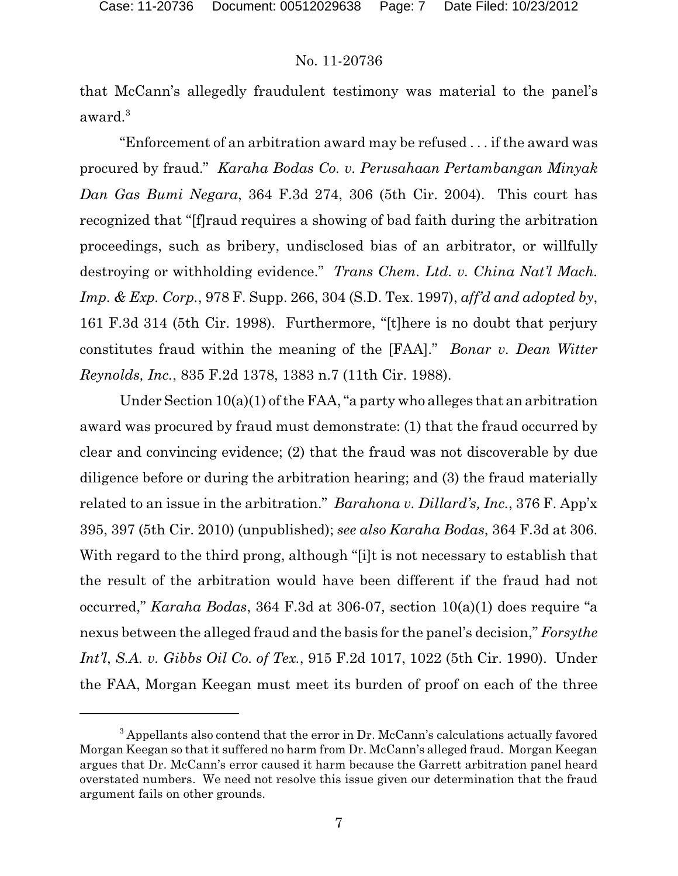that McCann's allegedly fraudulent testimony was material to the panel's award.<sup>3</sup>

"Enforcement of an arbitration award may be refused . . . if the award was procured by fraud." *Karaha Bodas Co. v. Perusahaan Pertambangan Minyak Dan Gas Bumi Negara*, 364 F.3d 274, 306 (5th Cir. 2004). This court has recognized that "[f]raud requires a showing of bad faith during the arbitration proceedings, such as bribery, undisclosed bias of an arbitrator, or willfully destroying or withholding evidence." *Trans Chem. Ltd. v. China Nat'l Mach. Imp. & Exp. Corp.*, 978 F. Supp. 266, 304 (S.D. Tex. 1997), *aff'd and adopted by*, 161 F.3d 314 (5th Cir. 1998). Furthermore, "[t]here is no doubt that perjury constitutes fraud within the meaning of the [FAA]." *Bonar v. Dean Witter Reynolds, Inc.*, 835 F.2d 1378, 1383 n.7 (11th Cir. 1988).

Under Section 10(a)(1) of the FAA, "a party who alleges that an arbitration award was procured by fraud must demonstrate: (1) that the fraud occurred by clear and convincing evidence; (2) that the fraud was not discoverable by due diligence before or during the arbitration hearing; and (3) the fraud materially related to an issue in the arbitration." *Barahona v. Dillard's, Inc.*, 376 F. App'x 395, 397 (5th Cir. 2010) (unpublished); *see also Karaha Bodas*, 364 F.3d at 306. With regard to the third prong, although "[i]t is not necessary to establish that the result of the arbitration would have been different if the fraud had not occurred," *Karaha Bodas*, 364 F.3d at 306-07, section 10(a)(1) does require "a nexus between the alleged fraud and the basis for the panel's decision," *Forsythe Int'l*, *S.A. v. Gibbs Oil Co. of Tex.*, 915 F.2d 1017, 1022 (5th Cir. 1990). Under the FAA, Morgan Keegan must meet its burden of proof on each of the three

<sup>&</sup>lt;sup>3</sup> Appellants also contend that the error in Dr. McCann's calculations actually favored Morgan Keegan so that it suffered no harm from Dr. McCann's alleged fraud. Morgan Keegan argues that Dr. McCann's error caused it harm because the Garrett arbitration panel heard overstated numbers. We need not resolve this issue given our determination that the fraud argument fails on other grounds.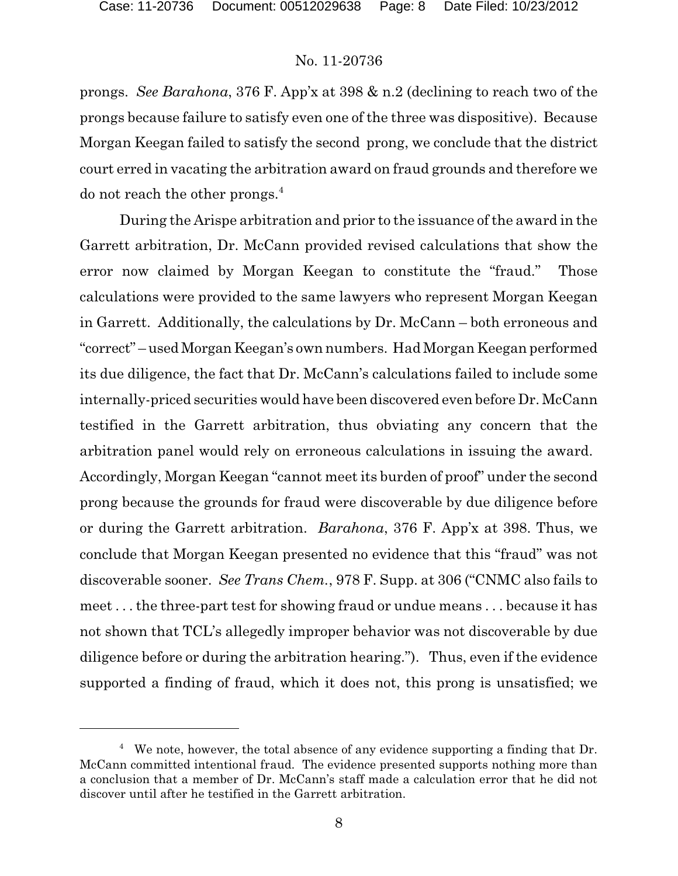prongs. *See Barahona*, 376 F. App'x at 398 & n.2 (declining to reach two of the prongs because failure to satisfy even one of the three was dispositive). Because Morgan Keegan failed to satisfy the second prong, we conclude that the district court erred in vacating the arbitration award on fraud grounds and therefore we do not reach the other prongs.<sup>4</sup>

During the Arispe arbitration and prior to the issuance of the award in the Garrett arbitration, Dr. McCann provided revised calculations that show the error now claimed by Morgan Keegan to constitute the "fraud." Those calculations were provided to the same lawyers who represent Morgan Keegan in Garrett. Additionally, the calculations by Dr. McCann – both erroneous and "correct" – used Morgan Keegan's own numbers. Had Morgan Keegan performed its due diligence, the fact that Dr. McCann's calculations failed to include some internally-priced securities would have been discovered even before Dr. McCann testified in the Garrett arbitration, thus obviating any concern that the arbitration panel would rely on erroneous calculations in issuing the award. Accordingly, Morgan Keegan "cannot meet its burden of proof" under the second prong because the grounds for fraud were discoverable by due diligence before or during the Garrett arbitration. *Barahona*, 376 F. App'x at 398. Thus, we conclude that Morgan Keegan presented no evidence that this "fraud" was not discoverable sooner. *See Trans Chem.*, 978 F. Supp. at 306 ("CNMC also fails to meet . . . the three-part test for showing fraud or undue means . . . because it has not shown that TCL's allegedly improper behavior was not discoverable by due diligence before or during the arbitration hearing."). Thus, even if the evidence supported a finding of fraud, which it does not, this prong is unsatisfied; we

 $4$  We note, however, the total absence of any evidence supporting a finding that Dr. McCann committed intentional fraud. The evidence presented supports nothing more than a conclusion that a member of Dr. McCann's staff made a calculation error that he did not discover until after he testified in the Garrett arbitration.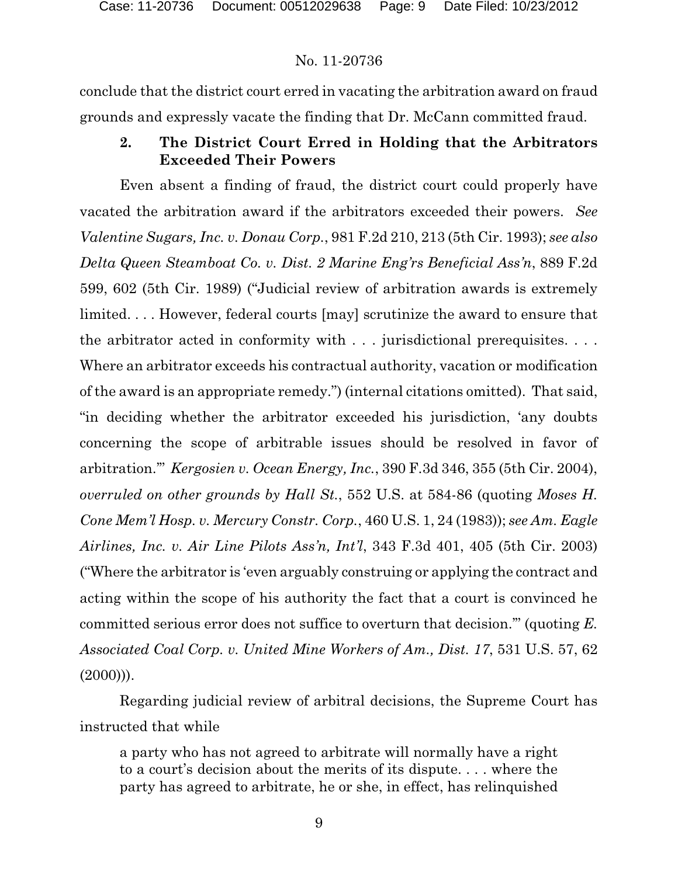conclude that the district court erred in vacating the arbitration award on fraud grounds and expressly vacate the finding that Dr. McCann committed fraud.

## **2. The District Court Erred in Holding that the Arbitrators Exceeded Their Powers**

Even absent a finding of fraud, the district court could properly have vacated the arbitration award if the arbitrators exceeded their powers. *See Valentine Sugars, Inc. v. Donau Corp.*, 981 F.2d 210, 213 (5th Cir. 1993); *see also Delta Queen Steamboat Co. v. Dist. 2 Marine Eng'rs Beneficial Ass'n*, 889 F.2d 599, 602 (5th Cir. 1989) ("Judicial review of arbitration awards is extremely limited. . . . However, federal courts [may] scrutinize the award to ensure that the arbitrator acted in conformity with . . . jurisdictional prerequisites. . . . Where an arbitrator exceeds his contractual authority, vacation or modification of the award is an appropriate remedy.") (internal citations omitted). That said, "in deciding whether the arbitrator exceeded his jurisdiction, 'any doubts concerning the scope of arbitrable issues should be resolved in favor of arbitration.'" *Kergosien v. Ocean Energy, Inc.*, 390 F.3d 346, 355 (5th Cir. 2004), *overruled on other grounds by Hall St.*, 552 U.S. at 584-86 (quoting *Moses H. Cone Mem'l Hosp. v. Mercury Constr. Corp.*, 460 U.S. 1, 24 (1983)); *see Am. Eagle Airlines, Inc. v. Air Line Pilots Ass'n, Int'l*, 343 F.3d 401, 405 (5th Cir. 2003) ("Where the arbitrator is 'even arguably construing or applying the contract and acting within the scope of his authority the fact that a court is convinced he committed serious error does not suffice to overturn that decision.'" (quoting *E. Associated Coal Corp. v. United Mine Workers of Am., Dist. 17*, 531 U.S. 57, 62  $(2000))$ .

Regarding judicial review of arbitral decisions, the Supreme Court has instructed that while

a party who has not agreed to arbitrate will normally have a right to a court's decision about the merits of its dispute. . . . where the party has agreed to arbitrate, he or she, in effect, has relinquished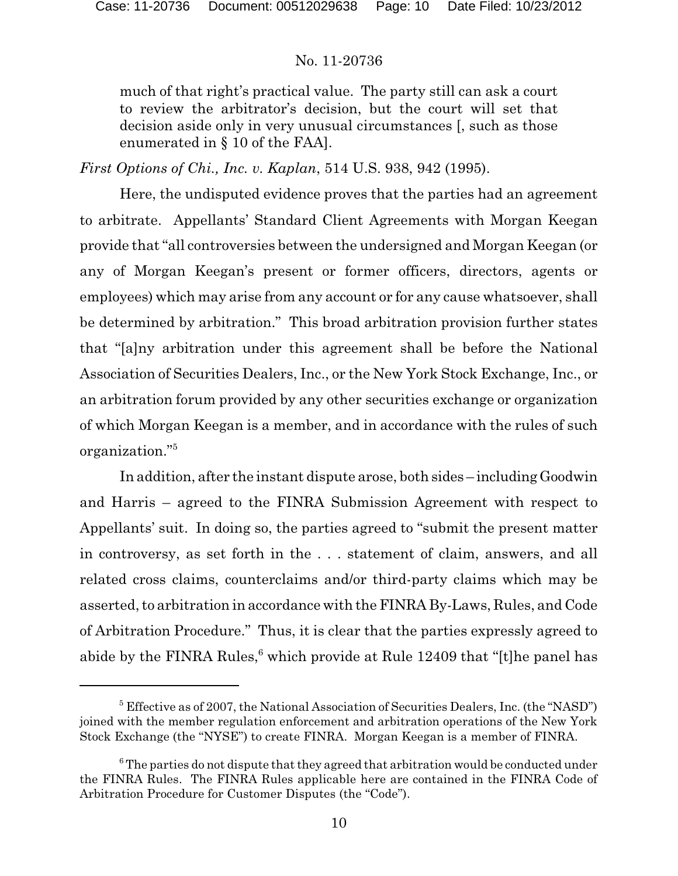much of that right's practical value. The party still can ask a court to review the arbitrator's decision, but the court will set that decision aside only in very unusual circumstances [, such as those enumerated in § 10 of the FAA].

*First Options of Chi., Inc. v. Kaplan*, 514 U.S. 938, 942 (1995).

Here, the undisputed evidence proves that the parties had an agreement to arbitrate. Appellants' Standard Client Agreements with Morgan Keegan provide that "all controversies between the undersigned and Morgan Keegan (or any of Morgan Keegan's present or former officers, directors, agents or employees) which may arise from any account or for any cause whatsoever, shall be determined by arbitration." This broad arbitration provision further states that "[a]ny arbitration under this agreement shall be before the National Association of Securities Dealers, Inc., or the New York Stock Exchange, Inc., or an arbitration forum provided by any other securities exchange or organization of which Morgan Keegan is a member, and in accordance with the rules of such organization."<sup>5</sup>

In addition, after the instant dispute arose, both sides – including Goodwin and Harris – agreed to the FINRA Submission Agreement with respect to Appellants' suit. In doing so, the parties agreed to "submit the present matter in controversy, as set forth in the . . . statement of claim, answers, and all related cross claims, counterclaims and/or third-party claims which may be asserted, to arbitration in accordance with the FINRA By-Laws, Rules, and Code of Arbitration Procedure." Thus, it is clear that the parties expressly agreed to abide by the FINRA Rules,<sup>6</sup> which provide at Rule 12409 that "[t] he panel has

 $5$  Effective as of 2007, the National Association of Securities Dealers, Inc. (the "NASD") joined with the member regulation enforcement and arbitration operations of the New York Stock Exchange (the "NYSE") to create FINRA. Morgan Keegan is a member of FINRA.

 $^6$  The parties do not dispute that they agreed that arbitration would be conducted under the FINRA Rules. The FINRA Rules applicable here are contained in the FINRA Code of Arbitration Procedure for Customer Disputes (the "Code").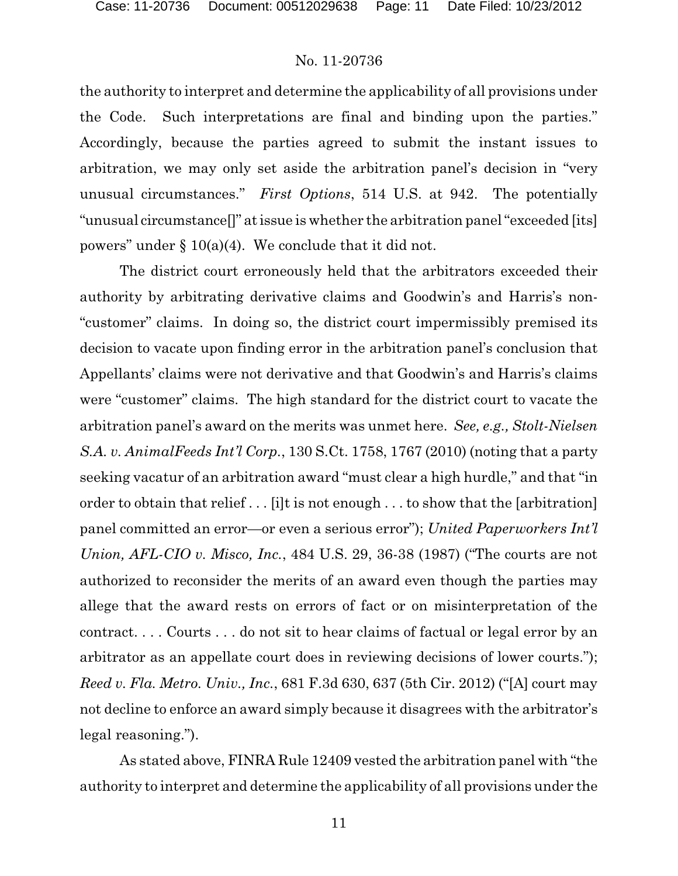the authority to interpret and determine the applicability of all provisions under the Code. Such interpretations are final and binding upon the parties." Accordingly, because the parties agreed to submit the instant issues to arbitration, we may only set aside the arbitration panel's decision in "very unusual circumstances." *First Options*, 514 U.S. at 942. The potentially "unusual circumstance[]" atissue is whether the arbitration panel "exceeded [its] powers" under  $\S 10(a)(4)$ . We conclude that it did not.

The district court erroneously held that the arbitrators exceeded their authority by arbitrating derivative claims and Goodwin's and Harris's non- "customer" claims. In doing so, the district court impermissibly premised its decision to vacate upon finding error in the arbitration panel's conclusion that Appellants' claims were not derivative and that Goodwin's and Harris's claims were "customer" claims. The high standard for the district court to vacate the arbitration panel's award on the merits was unmet here. *See, e.g., Stolt-Nielsen S.A. v. AnimalFeeds Int'l Corp.*, 130 S.Ct. 1758, 1767 (2010) (noting that a party seeking vacatur of an arbitration award "must clear a high hurdle," and that "in order to obtain that relief . . . [i]t is not enough . . . to show that the [arbitration] panel committed an error—or even a serious error"); *United Paperworkers Int'l Union, AFL-CIO v. Misco, Inc.*, 484 U.S. 29, 36-38 (1987) ("The courts are not authorized to reconsider the merits of an award even though the parties may allege that the award rests on errors of fact or on misinterpretation of the contract. . . . Courts . . . do not sit to hear claims of factual or legal error by an arbitrator as an appellate court does in reviewing decisions of lower courts."); *Reed v. Fla. Metro. Univ., Inc.*, 681 F.3d 630, 637 (5th Cir. 2012) ("[A] court may not decline to enforce an award simply because it disagrees with the arbitrator's legal reasoning.").

As stated above, FINRA Rule 12409 vested the arbitration panel with "the authority to interpret and determine the applicability of all provisions under the